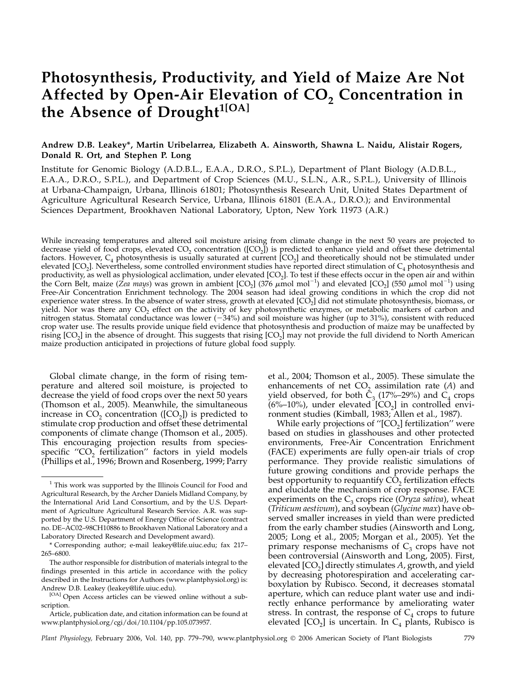# Photosynthesis, Productivity, and Yield of Maize Are Not Affected by Open-Air Elevation of CO<sub>2</sub> Concentration in the Absence of Drought<sup>1[OA]</sup>

# Andrew D.B. Leakey\*, Martin Uribelarrea, Elizabeth A. Ainsworth, Shawna L. Naidu, Alistair Rogers, Donald R. Ort, and Stephen P. Long

Institute for Genomic Biology (A.D.B.L., E.A.A., D.R.O., S.P.L.), Department of Plant Biology (A.D.B.L., E.A.A., D.R.O., S.P.L.), and Department of Crop Sciences (M.U., S.L.N., A.R., S.P.L.), University of Illinois at Urbana-Champaign, Urbana, Illinois 61801; Photosynthesis Research Unit, United States Department of Agriculture Agricultural Research Service, Urbana, Illinois 61801 (E.A.A., D.R.O.); and Environmental Sciences Department, Brookhaven National Laboratory, Upton, New York 11973 (A.R.)

While increasing temperatures and altered soil moisture arising from climate change in the next 50 years are projected to decrease yield of food crops, elevated  $CO<sub>2</sub>$  concentration ( $[CO<sub>2</sub>]$ ) is predicted to enhance yield and offset these detrimental factors. However,  $C_4$  photosynthesis is usually saturated at current  $[CO_2]$  and theoretically should not be stimulated under elevated  $[CO_2]$ . Nevertheless, some controlled environment studies have reported direct stimulation of  $C_4$  photosynthesis and productivity, as well as physiological acclimation, under elevated [CO<sub>2</sub>]. To test if these effects occur in the open air and within the Corn Belt, maize (Zea mays) was grown in ambient [CO<sub>2</sub>] (376  $\mu$ mol mol<sup>-1</sup>) and elevated [CO<sub>2</sub>] (550  $\mu$ mol mol<sup>-1</sup>) using Free-Air Concentration Enrichment technology. The 2004 season had ideal growing conditions in which the crop did not experience water stress. In the absence of water stress, growth at elevated [CO<sub>2</sub>] did not stimulate photosynthesis, biomass, or yield. Nor was there any  $CO<sub>2</sub>$  effect on the activity of key photosynthetic enzymes, or metabolic markers of carbon and nitrogen status. Stomatal conductance was lower  $(-34%)$  and soil moisture was higher (up to 31%), consistent with reduced crop water use. The results provide unique field evidence that photosynthesis and production of maize may be unaffected by rising  $[CO<sub>2</sub>]$  in the absence of drought. This suggests that rising  $[CO<sub>2</sub>]$  may not provide the full dividend to North American maize production anticipated in projections of future global food supply.

Global climate change, in the form of rising temperature and altered soil moisture, is projected to decrease the yield of food crops over the next 50 years (Thomson et al., 2005). Meanwhile, the simultaneous increase in  $CO_2$  concentration ([ $CO_2$ ]) is predicted to stimulate crop production and offset these detrimental components of climate change (Thomson et al., 2005). This encouraging projection results from speciesspecific  $"CO$ <sub>2</sub> fertilization" factors in yield models (Phillips et al., 1996; Brown and Rosenberg, 1999; Parry et al., 2004; Thomson et al., 2005). These simulate the enhancements of net  $CO_2$  assimilation rate (A) and yield observed, for both  $C_3$  (17%–29%) and  $C_4$  crops  $(6\textdegree-10\%)$ , under elevated  $[CO_2]$  in controlled environment studies (Kimball, 1983; Allen et al., 1987).

While early projections of " $[CO<sub>2</sub>]$  fertilization" were based on studies in glasshouses and other protected environments, Free-Air Concentration Enrichment (FACE) experiments are fully open-air trials of crop performance. They provide realistic simulations of future growing conditions and provide perhaps the best opportunity to requantify  $C\dot{O}$ , fertilization effects and elucidate the mechanism of crop response. FACE experiments on the  $C_3$  crops rice (Oryza sativa), wheat (Triticum aestivum), and soybean (Glycine max) have observed smaller increases in yield than were predicted from the early chamber studies (Ainsworth and Long, 2005; Long et al., 2005; Morgan et al., 2005). Yet the primary response mechanisms of  $C_3$  crops have not been controversial (Ainsworth and Long, 2005). First, elevated  $[CO_2]$  directly stimulates A, growth, and yield by decreasing photorespiration and accelerating carboxylation by Rubisco. Second, it decreases stomatal aperture, which can reduce plant water use and indirectly enhance performance by ameliorating water stress. In contrast, the response of  $C_4$  crops to future elevated  $[CO_2]$  is uncertain. In  $C_4$  plants, Rubisco is

<sup>&</sup>lt;sup>1</sup> This work was supported by the Illinois Council for Food and Agricultural Research, by the Archer Daniels Midland Company, by the International Arid Land Consortium, and by the U.S. Department of Agriculture Agricultural Research Service. A.R. was supported by the U.S. Department of Energy Office of Science (contract no. DE–AC02–98CH10886 to Brookhaven National Laboratory and a Laboratory Directed Research and Development award).

<sup>\*</sup> Corresponding author; e-mail leakey@life.uiuc.edu; fax 217– 265–6800.

The author responsible for distribution of materials integral to the findings presented in this article in accordance with the policy described in the Instructions for Authors (www.plantphysiol.org) is: Andrew D.B. Leakey (leakey@life.uiuc.edu).

<sup>[</sup>OA] Open Access articles can be viewed online without a subscription.

Article, publication date, and citation information can be found at www.plantphysiol.org/cgi/doi/10.1104/pp.105.073957.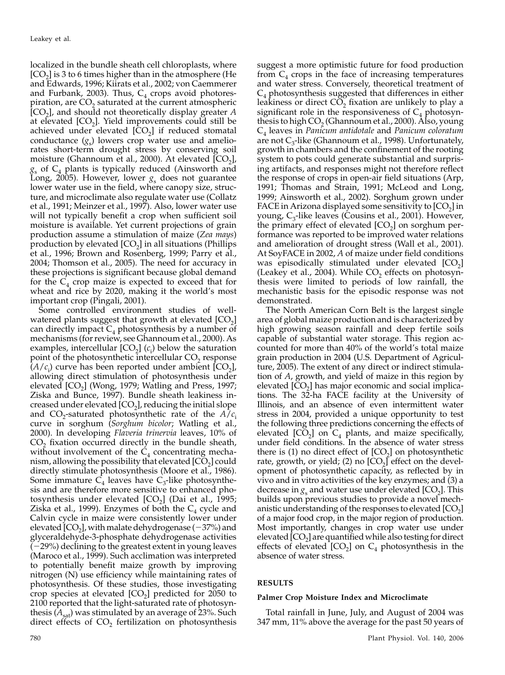localized in the bundle sheath cell chloroplasts, where  $[CO<sub>2</sub>]$  is 3 to 6 times higher than in the atmosphere (He and Edwards, 1996; Kiirats et al., 2002; von Caemmerer and Furbank, 2003). Thus,  $C_4$  crops avoid photorespiration, are  $CO<sub>2</sub>$  saturated at the current atmospheric  $[CO<sub>2</sub>]$ , and should not theoretically display greater A at elevated  $[CO<sub>2</sub>]$ . Yield improvements could still be achieved under elevated  $[CO<sub>2</sub>]$  if reduced stomatal conductance  $(g_s)$  lowers crop water use and ameliorates short-term drought stress by conserving soil moisture (Ghannoum et al., 2000). At elevated  $[CO<sub>2</sub>]$ ,  $g_s$  of  $C_4$  plants is typically reduced (Ainsworth and Long, 2005). However, lower  $g_s$  does not guarantee lower water use in the field, where canopy size, structure, and microclimate also regulate water use (Collatz et al., 1991; Meinzer et al., 1997). Also, lower water use will not typically benefit a crop when sufficient soil moisture is available. Yet current projections of grain production assume a stimulation of maize (Zea mays) production by elevated  $[CO<sub>2</sub>]$  in all situations (Phillips et al., 1996; Brown and Rosenberg, 1999; Parry et al., 2004; Thomson et al., 2005). The need for accuracy in these projections is significant because global demand for the  $C_4$  crop maize is expected to exceed that for wheat and rice by 2020, making it the world's most important crop (Pingali, 2001).

Some controlled environment studies of wellwatered plants suggest that growth at elevated  $[CO<sub>2</sub>]$ can directly impact  $C_4$  photosynthesis by a number of mechanisms (for review, see Ghannoum et al., 2000). As examples, intercellular  $[CO_2]$  ( $c_i$ ) below the saturation point of the photosynthetic intercellular  $CO<sub>2</sub>$  response  $(A/c_i)$  curve has been reported under ambient  $[CO_2]$ , allowing direct stimulation of photosynthesis under elevated  $[CO<sub>2</sub>]$  (Wong, 1979; Watling and Press, 1997; Ziska and Bunce, 1997). Bundle sheath leakiness increased under elevated  $[CO<sub>2</sub>]$ , reducing the initial slope and CO<sub>2</sub>-saturated photosynthetic rate of the  $A/\mathfrak{c}_i$ curve in sorghum (Sorghum bicolor; Watling et al., 2000). In developing Flaveria trinervia leaves, 10% of  $CO<sub>2</sub>$  fixation occurred directly in the bundle sheath, without involvement of the  $C_4$  concentrating mechanism, allowing the possibility that elevated  $[CO<sub>2</sub>]$  could directly stimulate photosynthesis (Moore et al., 1986). Some immature  $\tilde{C}_4$  leaves have  $C_3$ -like photosynthesis and are therefore more sensitive to enhanced photosynthesis under elevated  $[CO<sub>2</sub>]$  (Dai et al., 1995; Ziska et al., 1999). Enzymes of both the  $C_4$  cycle and Calvin cycle in maize were consistently lower under elevated  $[CO<sub>2</sub>]$ , with malate dehydrogenase  $(-37%)$  and glyceraldehyde-3-phosphate dehydrogenase activities  $-29%$ ) declining to the greatest extent in young leaves (Maroco et al., 1999). Such acclimation was interpreted to potentially benefit maize growth by improving nitrogen (N) use efficiency while maintaining rates of photosynthesis. Of these studies, those investigating crop species at elevated  $[CO<sub>2</sub>]$  predicted for 2050 to 2100 reported that the light-saturated rate of photosynthesis  $(A<sub>sat</sub>)$  was stimulated by an average of 23%. Such direct effects of  $CO<sub>2</sub>$  fertilization on photosynthesis

suggest a more optimistic future for food production from  $C_4$  crops in the face of increasing temperatures and water stress. Conversely, theoretical treatment of  $C_4$  photosynthesis suggested that differences in either leakiness or direct  $CO<sub>2</sub>$  fixation are unlikely to play a significant role in the responsiveness of  $C_4$  photosynthesis to high  $CO<sub>2</sub>$  (Ghannoum et al., 2000). Also, young  $C_4$  leaves in Panicum antidotale and Panicum coloratum are not  $C_3$ -like (Ghannoum et al., 1998). Unfortunately, growth in chambers and the confinement of the rooting system to pots could generate substantial and surprising artifacts, and responses might not therefore reflect the response of crops in open-air field situations (Arp, 1991; Thomas and Strain, 1991; McLeod and Long, 1999; Ainsworth et al., 2002). Sorghum grown under FACE in Arizona displayed some sensitivity to  $[CO<sub>2</sub>]$  in young,  $C_3$ -like leaves (Cousins et al., 2001). However, the primary effect of elevated  $[CO<sub>2</sub>]$  on sorghum performance was reported to be improved water relations and amelioration of drought stress (Wall et al., 2001). At SoyFACE in 2002, A of maize under field conditions was episodically stimulated under elevated  $[CO<sub>2</sub>]$ (Leakey et al., 2004). While  $CO<sub>2</sub>$  effects on photosynthesis were limited to periods of low rainfall, the mechanistic basis for the episodic response was not demonstrated.

The North American Corn Belt is the largest single area of global maize production and is characterized by high growing season rainfall and deep fertile soils capable of substantial water storage. This region accounted for more than 40% of the world's total maize grain production in 2004 (U.S. Department of Agriculture, 2005). The extent of any direct or indirect stimulation of A, growth, and yield of maize in this region by elevated  $[CO<sub>2</sub>]$  has major economic and social implications. The 32-ha FACE facility at the University of Illinois, and an absence of even intermittent water stress in 2004, provided a unique opportunity to test the following three predictions concerning the effects of elevated  $[CO_2]$  on  $C_4$  plants, and maize specifically, under field conditions. In the absence of water stress there is (1) no direct effect of  $[CO<sub>2</sub>]$  on photosynthetic rate, growth, or yield; (2) no  $[CO<sub>2</sub>]$  effect on the development of photosynthetic capacity, as reflected by in vivo and in vitro activities of the key enzymes; and (3) a decrease in  $g_s$  and water use under elevated [CO<sub>2</sub>]. This builds upon previous studies to provide a novel mechanistic understanding of the responses to elevated  $[CO<sub>2</sub>]$ of a major food crop, in the major region of production. Most importantly, changes in crop water use under elevated  $[CO<sub>2</sub>]$  are quantified while also testing for direct effects of elevated  $[CO<sub>2</sub>]$  on  $C<sub>4</sub>$  photosynthesis in the absence of water stress.

# RESULTS

## Palmer Crop Moisture Index and Microclimate

Total rainfall in June, July, and August of 2004 was 347 mm, 11% above the average for the past 50 years of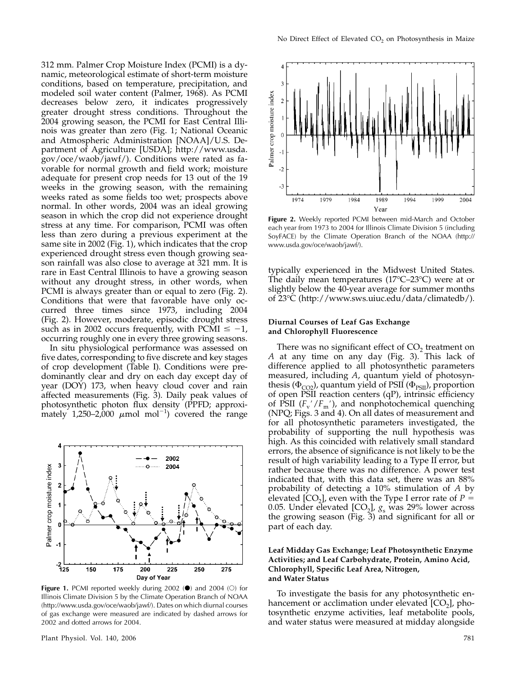312 mm. Palmer Crop Moisture Index (PCMI) is a dynamic, meteorological estimate of short-term moisture conditions, based on temperature, precipitation, and modeled soil water content (Palmer, 1968). As PCMI decreases below zero, it indicates progressively greater drought stress conditions. Throughout the 2004 growing season, the PCMI for East Central Illinois was greater than zero (Fig. 1; National Oceanic and Atmospheric Administration [NOAA]/U.S. Department of Agriculture [USDA]; http://www.usda. gov/oce/waob/jawf/). Conditions were rated as favorable for normal growth and field work; moisture adequate for present crop needs for 13 out of the 19 weeks in the growing season, with the remaining weeks rated as some fields too wet; prospects above normal. In other words, 2004 was an ideal growing season in which the crop did not experience drought stress at any time. For comparison, PCMI was often less than zero during a previous experiment at the same site in 2002 (Fig. 1), which indicates that the crop experienced drought stress even though growing season rainfall was also close to average at 321 mm. It is rare in East Central Illinois to have a growing season without any drought stress, in other words, when PCMI is always greater than or equal to zero (Fig. 2). Conditions that were that favorable have only occurred three times since 1973, including 2004 (Fig. 2). However, moderate, episodic drought stress such as in 2002 occurs frequently, with PCMI  $\leq -1$ , occurring roughly one in every three growing seasons.

In situ physiological performance was assessed on five dates, corresponding to five discrete and key stages of crop development (Table I). Conditions were predominantly clear and dry on each day except day of year (DOY) 173, when heavy cloud cover and rain affected measurements (Fig. 3). Daily peak values of photosynthetic photon flux density (PPFD; approximately 1,250-2,000  $\mu$ mol mol<sup>-1</sup>) covered the range



Figure 1. PCMI reported weekly during 2002  $\left(\bullet\right)$  and 2004 (O) for Illinois Climate Division 5 by the Climate Operation Branch of NOAA (http://www.usda.gov/oce/waob/jawf/). Dates on which diurnal courses of gas exchange were measured are indicated by dashed arrows for 2002 and dotted arrows for 2004.



Figure 2. Weekly reported PCMI between mid-March and October each year from 1973 to 2004 for Illinois Climate Division 5 (including SoyFACE) by the Climate Operation Branch of the NOAA (http:// www.usda.gov/oce/waob/jawf/).

typically experienced in the Midwest United States. The daily mean temperatures (17 $^{\circ}$ C–23 $^{\circ}$ C) were at or slightly below the 40-year average for summer months of 23°C (http://www.sws.uiuc.edu/data/climatedb/).

# Diurnal Courses of Leaf Gas Exchange and Chlorophyll Fluorescence

There was no significant effect of  $CO<sub>2</sub>$  treatment on A at any time on any day (Fig. 3). This lack of difference applied to all photosynthetic parameters measured, including A, quantum yield of photosynthesis ( $\Phi_{CO2}$ ), quantum yield of PSII ( $\Phi_{PSII}$ ), proportion of open PSII reaction centers (qP), intrinsic efficiency of PSII  $(F_v'/F_m')$ , and nonphotochemical quenching (NPQ; Figs. 3 and 4). On all dates of measurement and for all photosynthetic parameters investigated, the probability of supporting the null hypothesis was high. As this coincided with relatively small standard errors, the absence of significance is not likely to be the result of high variability leading to a Type II error, but rather because there was no difference. A power test indicated that, with this data set, there was an 88% probability of detecting a 10% stimulation of A by elevated [CO<sub>2</sub>], even with the Type I error rate of  $P =$ 0.05. Under elevated  $[CO<sub>2</sub>]$ ,  $g<sub>s</sub>$  was 29% lower across the growing season (Fig. 3) and significant for all or part of each day.

# Leaf Midday Gas Exchange; Leaf Photosynthetic Enzyme Activities; and Leaf Carbohydrate, Protein, Amino Acid, Chlorophyll, Specific Leaf Area, Nitrogen, and Water Status

To investigate the basis for any photosynthetic enhancement or acclimation under elevated  $[CO<sub>2</sub>]$ , photosynthetic enzyme activities, leaf metabolite pools, and water status were measured at midday alongside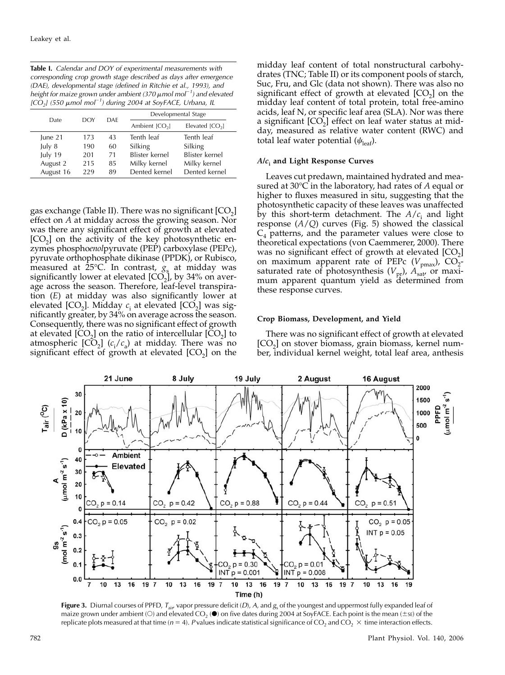Table I. Calendar and DOY of experimental measurements with corresponding crop growth stage described as days after emergence (DAE), developmental stage (defined in Ritchie et al., 1993), and height for maize grown under ambient (370  $\mu$ mol mol<sup>-1</sup>) and elevated [ $CO<sub>2</sub>$ ] (550  $\mu$ mol mol<sup>-1</sup>) during 2004 at SoyFACE, Urbana, IL

| Date.     | <b>DOY</b> | <b>DAF</b> | Developmental Stage |                  |  |
|-----------|------------|------------|---------------------|------------------|--|
|           |            |            | Ambient $[CO2]$     | Elevated $[CO2]$ |  |
| June 21   | 173        | 43         | Tenth leaf          | Tenth leaf       |  |
| July 8    | 190        | 60         | Silking             | Silking          |  |
| July 19   | 201        | 71         | Blister kernel      | Blister kernel   |  |
| August 2  | 215        | 85         | Milky kernel        | Milky kernel     |  |
| August 16 | 229        | 89         | Dented kernel       | Dented kernel    |  |

gas exchange (Table II). There was no significant  $[CO<sub>2</sub>]$ effect on A at midday across the growing season. Nor was there any significant effect of growth at elevated  $[CO<sub>2</sub>]$  on the activity of the key photosynthetic enzymes phosphoenolpyruvate (PEP) carboxylase (PEPc), pyruvate orthophosphate dikinase (PPDK), or Rubisco, measured at 25°C. In contrast,  $g_s$  at midday was significantly lower at elevated  $[CO<sub>2</sub>]$ , by 34% on average across the season. Therefore, leaf-level transpiration (E) at midday was also significantly lower at elevated [CO<sub>2</sub>]. Midday  $c_i$  at elevated [CO<sub>2</sub>] was significantly greater, by 34% on average across the season. Consequently, there was no significant effect of growth at elevated  $[CO<sub>2</sub>]$  on the ratio of intercellular  $[CO<sub>2</sub>]$  to atmospheric  $[CO_2]$  ( $c_i/c_a$ ) at midday. There was no significant effect of growth at elevated  $[CO<sub>2</sub>]$  on the

midday leaf content of total nonstructural carbohydrates (TNC; Table II) or its component pools of starch, Suc, Fru, and Glc (data not shown). There was also no significant effect of growth at elevated  $[CO<sub>2</sub>]$  on the midday leaf content of total protein, total free-amino acids, leaf N, or specific leaf area (SLA). Nor was there a significant  $[CO<sub>2</sub>]$  effect on leaf water status at midday, measured as relative water content (RWC) and total leaf water potential  $(\psi_{\text{leaf}})$ .

## $A/c<sub>i</sub>$  and Light Response Curves

Leaves cut predawn, maintained hydrated and measured at 30°C in the laboratory, had rates of  $A$  equal or higher to fluxes measured in situ, suggesting that the photosynthetic capacity of these leaves was unaffected by this short-term detachment. The  $A/c<sub>i</sub>$  and light response  $(A/Q)$  curves (Fig. 5) showed the classical  $C_4$  patterns, and the parameter values were close to theoretical expectations (von Caemmerer, 2000). There was no significant effect of growth at elevated  $[CO<sub>2</sub>]$ on maximum apparent rate of PEPc  $(V_{\text{pmax}})$ , CO<sub>2</sub>saturated rate of photosynthesis  $(V_{\text{pr}})$ ,  $A_{\text{sat}}$  or maximum apparent quantum yield as determined from these response curves.

## Crop Biomass, Development, and Yield

There was no significant effect of growth at elevated  $[CO<sub>2</sub>]$  on stover biomass, grain biomass, kernel number, individual kernel weight, total leaf area, anthesis



Figure 3. Diurnal courses of PPFD,  $T_{air}$  vapor pressure deficit (D), A, and g<sub>s</sub> of the youngest and uppermost fully expanded leaf of maize grown under ambient (O) and elevated CO<sub>2</sub> ( $\bullet$ ) on five dates during 2004 at SoyFACE. Each point is the mean ( $\pm$ sE) of the replicate plots measured at that time ( $n = 4$ ). P values indicate statistical significance of CO<sub>2</sub> and CO<sub>2</sub>  $\times$  time interaction effects.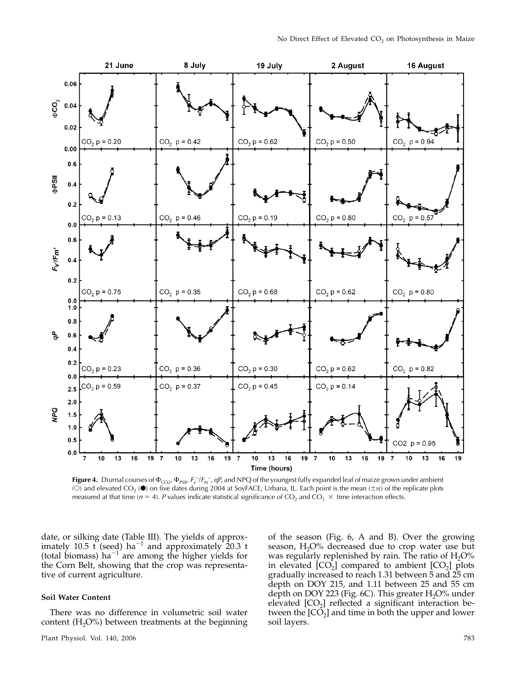

Figure 4. Diurnal courses of  $\Phi_{CO2}$ ,  $\Phi_{PSIU} F_v'/F_m'$ , qP, and NPQ of the youngest fully expanded leaf of maize grown under ambient (O) and elevated CO<sub>2</sub> ( $\bullet$ ) on five dates during 2004 at SoyFACE, Urbana, IL. Each point is the mean ( $\pm$ sE) of the replicate plots measured at that time ( $n = 4$ ). P values indicate statistical significance of CO<sub>2</sub> and CO<sub>2</sub>  $\times$  time interaction effects.

date, or silking date (Table III). The yields of approximately 10.5 t (seed) ha<sup>-1</sup> and approximately 20.3 t (total biomass) ha<sup> $-1$ </sup> are among the higher yields for the Corn Belt, showing that the crop was representative of current agriculture.

# Soil Water Content

There was no difference in volumetric soil water content  $(H<sub>2</sub>O<sup>o</sup>)$  between treatments at the beginning of the season (Fig. 6, A and B). Over the growing season,  $H_2O\%$  decreased due to crop water use but was regularly replenished by rain. The ratio of  $H_2O\%$ in elevated  $[CO_2]$  compared to ambient  $[CO_2]$  plots gradually increased to reach 1.31 between 5 and 25 cm depth on DOY 215, and 1.11 between 25 and 55 cm depth on DOY 223 (Fig. 6C). This greater  $H_2O\%$  under elevated  $[CO<sub>2</sub>]$  reflected a significant interaction between the  $[CO<sub>2</sub>]$  and time in both the upper and lower soil layers.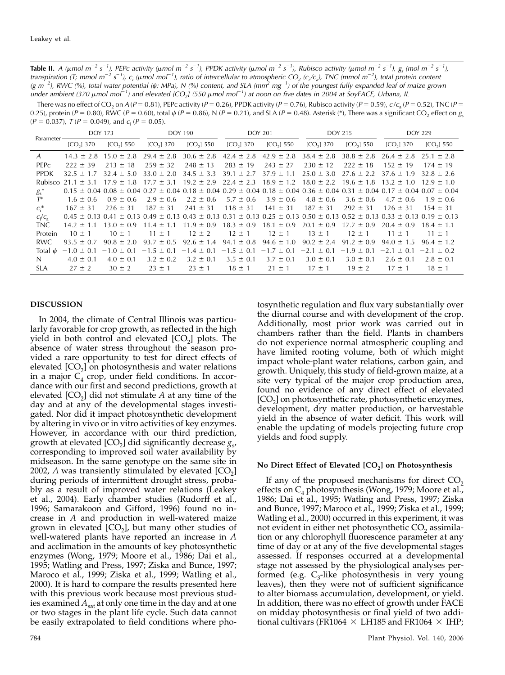**Table II.** A ( $\mu$ mol m<sup>-2</sup> s<sup>-1</sup>), PEPc activity ( $\mu$ mol m<sup>-2</sup> s<sup>-1</sup>), PPDK activity ( $\mu$ mol m<sup>-2</sup> s<sup>-1</sup>), Rubisco activity ( $\mu$ mol m<sup>-2</sup> s<sup>-1</sup>), g<sub>s</sub> (mol m<sup>-2</sup> s<sup>-1</sup>), transpiration (T; mmol m<sup>-2</sup> s<sup>-1</sup>), c<sub>i</sub> (µmol mol<sup>-1</sup>), ratio of intercellular to atmospheric CO<sub>2</sub> (c<sub>i</sub>/c<sub>a</sub>), TNC (mmol m<sup>-2</sup>), total protein content (g m<sup>-2</sup>), RWC (%), total water potential ( $\psi$ ; MPa), N (%) content, and SLA (mm<sup>2</sup> mg<sup>-1</sup>) of the youngest fully expanded leaf of maize grown under ambient (370  $\mu$ mol mol<sup>-1</sup>) and elevated [CO<sub>2</sub>] (550  $\mu$ mol mol<sup>-1</sup>) at noon on five dates in 2004 at SoyFACE, Urbana, IL

There was no effect of CO<sub>2</sub> on A (P = 0.81), PEPc activity (P = 0.26), PPDK activity (P = 0.76), Rubisco activity (P = 0.59),  $c_i/c_a$  (P = 0.52), TNC (P = 0.25), protein ( $P = 0.80$ ), RWC ( $P = 0.60$ ), total  $\psi$  ( $P = 0.86$ ), N ( $P = 0.21$ ), and SLA ( $P = 0.48$ ). Asterisk (\*), There was a significant CO<sub>2</sub> effect on  $g_c$  $(P = 0.037)$ ,  $T (P = 0.049)$ , and  $c_i (P = 0.05)$ .

| Parameter-       | <b>DOY 173</b> |                 | <b>DOY 190</b>                                                                                                  |                | <b>DOY 201</b> |                | <b>DOY 215</b> |                 | <b>DOY 229</b>  |                                                                                                                                                                 |
|------------------|----------------|-----------------|-----------------------------------------------------------------------------------------------------------------|----------------|----------------|----------------|----------------|-----------------|-----------------|-----------------------------------------------------------------------------------------------------------------------------------------------------------------|
|                  | $[CO2]$ 370    | $[CO2]$ 550     | $[CO2]$ 370                                                                                                     | $[CO2]$ 550    | $[CO2]$ 370    | $[CO2]$ 550    | $[CO2]$ 370    | $[CO2]$ 550     | $[CO2]$ 370     | $[CO2]$ 550                                                                                                                                                     |
| A                | $14.3 \pm 2.8$ | $15.0 \pm 2.8$  | $29.4 \pm 2.8$                                                                                                  | $30.6 \pm 2.8$ | $42.4 \pm 2.8$ | $42.9 \pm 2.8$ | $38.4 \pm 2.8$ | $38.8 \pm 2.8$  | $26.4 \pm 2.8$  | $25.1 \pm 2.8$                                                                                                                                                  |
| PFP <sub>C</sub> | $222 \pm 39$   | $213 \pm$<br>18 | $259 \pm 32$                                                                                                    | $248 \pm 13$   | $283 \pm 19$   | $243 \pm 27$   | $230 \pm 12$   | $222 \pm 18$    | $152 \pm 19$    | $174 \pm 19$                                                                                                                                                    |
| <b>PPDK</b>      | $32.5 \pm 1.7$ | $32.4 \pm 5.0$  | $33.0 \pm 2.0$                                                                                                  | $34.5 \pm 3.3$ | $39.1 \pm 2.7$ | $37.9 \pm 1.1$ | $25.0 \pm 3.0$ | $27.6 \pm 2.2$  | $37.6 \pm 1.9$  | $32.8 \pm 2.6$                                                                                                                                                  |
| Rubisco          | $21.1 + 3.1$   | $17.9 \pm 1.8$  | $17.7 \pm 3.1$                                                                                                  | $19.2 \pm 2.9$ | $22.4 \pm 2.3$ | $18.9 \pm 1.2$ | $18.0 \pm 2.2$ | $19.6 \pm 1.8$  | $13.2 \pm 1.0$  | $12.9 \pm 1.0$                                                                                                                                                  |
| $g_{s}^*$        |                |                 |                                                                                                                 |                |                |                |                |                 |                 | $0.15 \pm 0.04$ $0.08 \pm 0.04$ $0.27 \pm 0.04$ $0.18 \pm 0.04$ $0.29 \pm 0.04$ $0.18 \pm 0.04$ $0.36 \pm 0.04$ $0.31 \pm 0.04$ $0.17 \pm 0.04$ $0.07 \pm 0.04$ |
| $T^*$            | $1.6 \pm 0.6$  | $0.9 \pm 0.6$   | $2.9 \pm 0.6$                                                                                                   | $2.2 \pm 0.6$  | $5.7 \pm 0.6$  | $3.9 \pm 0.6$  | $4.8 \pm 0.6$  | $3.6 \pm 0.6$   | $4.7 \pm 0.6$   | $1.9 \pm 0.6$                                                                                                                                                   |
| $C_i^*$          | $167 \pm 31$   | $226 \pm 31$    | $187 \pm 31$                                                                                                    | $241 \pm 31$   | $118 \pm 31$   | $141 \pm 31$   | $187 \pm 31$   | $292 \pm 31$    | $126 \pm 31$    | $154 \pm 31$                                                                                                                                                    |
| $c_i/c_a$        |                |                 | $0.45 \pm 0.13$ $0.41 \pm 0.13$ $0.49 \pm 0.13$ $0.43 \pm 0.13$ $0.31 \pm 0.13$ $0.25 \pm 0.13$ $0.50 \pm 0.13$ |                |                |                |                | $0.52 \pm 0.13$ | $0.33 \pm 0.13$ | $0.19 \pm 0.13$                                                                                                                                                 |
| TNC.             | $14.2 \pm 1.1$ | $13.0 \pm 0.9$  | $11.4 \pm 1.1$                                                                                                  | $11.9 \pm 0.9$ | $18.3 \pm 0.9$ | $18.1 \pm 0.9$ | $20.1 \pm 0.9$ | $17.7 \pm 0.9$  | $20.4 \pm 0.9$  | $18.4 \pm 1.1$                                                                                                                                                  |
| Protein          | $10 \pm 1$     | $10 \pm 1$      | $11 \pm 1$                                                                                                      | $12 \pm 2$     | $12 \pm 1$     | $12 \pm 1$     | $13 \pm 1$     | $12 \pm 1$      | $11 \pm 1$      | $11 \pm 1$                                                                                                                                                      |
| <b>RWC</b>       | $93.5 \pm 0.7$ | $90.8 \pm 2.0$  | $93.7 \pm 0.5$                                                                                                  | $92.6 \pm 1.4$ | $94.1 \pm 0.8$ | $94.6 \pm 1.0$ | $90.2 \pm 2.4$ | $91.2 \pm 0.9$  | $94.0 \pm 1.5$  | $96.4 \pm 1.2$                                                                                                                                                  |
| Total $\psi$     | $-1.0 \pm 0.1$ | $-1.0 \pm 0.1$  | $-1.5 \pm 0.1$                                                                                                  | $-1.4 \pm 0.1$ | $-1.5 \pm 0.1$ | $-1.7 \pm 0.1$ | $-2.1 \pm 0.1$ | $-1.9 \pm 0.1$  | $-2.1 \pm 0.1$  | $-2.1 \pm 0.2$                                                                                                                                                  |
| N                | $4.0 \pm 0.1$  | $4.0 \pm 0.1$   | $3.2 \pm 0.2$                                                                                                   | $3.2 \pm 0.1$  | $3.5 \pm 0.1$  | $3.7 \pm 0.1$  | $3.0 \pm 0.1$  | $3.0 \pm 0.1$   | $2.6 \pm 0.1$   | $2.8 \pm 0.1$                                                                                                                                                   |
| SLA.             | $27 \pm 2$     | $30 \pm 2$      | $23 \pm 1$                                                                                                      | $23 \pm 1$     | $18 \pm 1$     | $21 \pm 1$     | $17 \pm 1$     | $19 \pm 2$      | $17 \pm 1$      | $18 \pm 1$                                                                                                                                                      |

# DISCUSSION

In 2004, the climate of Central Illinois was particularly favorable for crop growth, as reflected in the high yield in both control and elevated  $[CO<sub>2</sub>]$  plots. The absence of water stress throughout the season provided a rare opportunity to test for direct effects of elevated  $[CO<sub>2</sub>]$  on photosynthesis and water relations in a major  $C_4$  crop, under field conditions. In accordance with our first and second predictions, growth at elevated  $[CO<sub>2</sub>]$  did not stimulate A at any time of the day and at any of the developmental stages investigated. Nor did it impact photosynthetic development by altering in vivo or in vitro activities of key enzymes. However, in accordance with our third prediction, growth at elevated  $[CO_2]$  did significantly decrease  $g_{s'}$ corresponding to improved soil water availability by midseason. In the same genotype on the same site in 2002, A was transiently stimulated by elevated  $[CO<sub>2</sub>]$ during periods of intermittent drought stress, probably as a result of improved water relations (Leakey et al., 2004). Early chamber studies (Rudorff et al., 1996; Samarakoon and Gifford, 1996) found no increase in A and production in well-watered maize grown in elevated  $[CO<sub>2</sub>]$ , but many other studies of well-watered plants have reported an increase in A and acclimation in the amounts of key photosynthetic enzymes (Wong, 1979; Moore et al., 1986; Dai et al., 1995; Watling and Press, 1997; Ziska and Bunce, 1997; Maroco et al., 1999; Ziska et al., 1999; Watling et al., 2000). It is hard to compare the results presented here with this previous work because most previous studies examined  $A_{sat}$  at only one time in the day and at one or two stages in the plant life cycle. Such data cannot be easily extrapolated to field conditions where pho-

tosynthetic regulation and flux vary substantially over the diurnal course and with development of the crop. Additionally, most prior work was carried out in chambers rather than the field. Plants in chambers do not experience normal atmospheric coupling and have limited rooting volume, both of which might impact whole-plant water relations, carbon gain, and growth. Uniquely, this study of field-grown maize, at a site very typical of the major crop production area, found no evidence of any direct effect of elevated  $[CO<sub>2</sub>]$  on photosynthetic rate, photosynthetic enzymes, development, dry matter production, or harvestable yield in the absence of water deficit. This work will enable the updating of models projecting future crop yields and food supply.

## No Direct Effect of Elevated  $[CO<sub>2</sub>]$  on Photosynthesis

If any of the proposed mechanisms for direct  $CO<sub>2</sub>$ effects on  $C_4$  photosynthesis (Wong, 1979; Moore et al., 1986; Dai et al., 1995; Watling and Press, 1997; Ziska and Bunce, 1997; Maroco et al., 1999; Ziska et al., 1999; Watling et al., 2000) occurred in this experiment, it was not evident in either net photosynthetic  $CO<sub>2</sub>$  assimilation or any chlorophyll fluorescence parameter at any time of day or at any of the five developmental stages assessed. If responses occurred at a developmental stage not assessed by the physiological analyses performed (e.g.  $C_3$ -like photosynthesis in very young leaves), then they were not of sufficient significance to alter biomass accumulation, development, or yield. In addition, there was no effect of growth under FACE on midday photosynthesis or final yield of two additional cultivars (FR1064  $\times$  LH185 and FR1064  $\times$  IHP;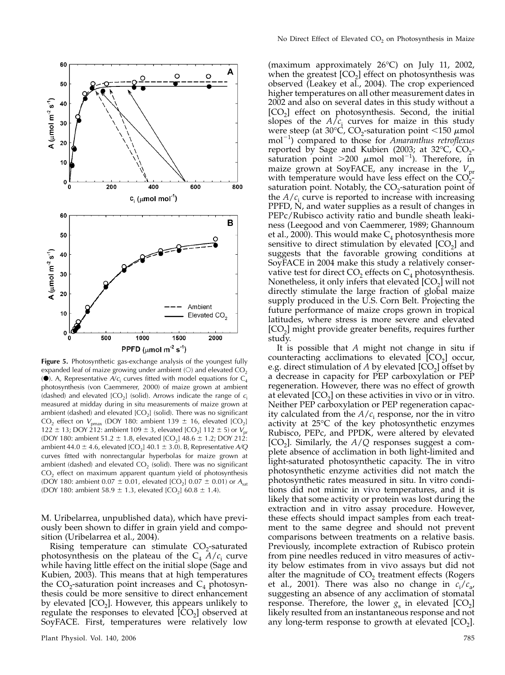

Figure 5. Photosynthetic gas-exchange analysis of the youngest fully expanded leaf of maize growing under ambient  $(O)$  and elevated  $CO<sub>2</sub>$ ( $\bullet$ ). A, Representative  $A/c<sub>i</sub>$  curves fitted with model equations for C<sub>4</sub> photosynthesis (von Caemmerer, 2000) of maize grown at ambient (dashed) and elevated  $[CO<sub>2</sub>]$  (solid). Arrows indicate the range of  $c<sub>i</sub>$ measured at midday during in situ measurements of maize grown at ambient (dashed) and elevated  $[CO_2]$  (solid). There was no significant CO<sub>2</sub> effect on  $V_{\text{pmax}}$  (DOY 180: ambient 139  $\pm$  16, elevated [CO<sub>2</sub>] 122  $\pm$  13; DOY 212: ambient 109  $\pm$  3, elevated [CO<sub>2</sub>] 112  $\pm$  5) or  $V_{\text{pr}}$ (DOY 180: ambient 51.2  $\pm$  1.8, elevated [CO<sub>2</sub>] 48.6  $\pm$  1.2; DOY 212: ambient 44.0  $\pm$  4.6, elevated [CO<sub>2</sub>] 40.1  $\pm$  3.0). B, Representative A/Q curves fitted with nonrectangular hyperbolas for maize grown at ambient (dashed) and elevated  $CO<sub>2</sub>$  (solid). There was no significant  $CO<sub>2</sub>$  effect on maximum apparent quantum yield of photosynthesis (DOY 180: ambient 0.07  $\pm$  0.01, elevated [CO<sub>2</sub>] 0.07  $\pm$  0.01) or A<sub>sat</sub> (DOY 180: ambient 58.9  $\pm$  1.3, elevated [CO<sub>2</sub>] 60.8  $\pm$  1.4).

M. Uribelarrea, unpublished data), which have previously been shown to differ in grain yield and composition (Uribelarrea et al., 2004).

Rising temperature can stimulate  $CO<sub>2</sub>$ -saturated photosynthesis on the plateau of the  $C_4$   $A/c_i$  curve while having little effect on the initial slope (Sage and Kubien, 2003). This means that at high temperatures the  $CO_2$ -saturation point increases and  $C_4$  photosynthesis could be more sensitive to direct enhancement by elevated  $[CO<sub>2</sub>]$ . However, this appears unlikely to regulate the responses to elevated  $[CO<sub>2</sub>]$  observed at SoyFACE. First, temperatures were relatively low

(maximum approximately 26°C) on July 11, 2002, when the greatest  $[CO<sub>2</sub>]$  effect on photosynthesis was observed (Leakey et al., 2004). The crop experienced higher temperatures on all other measurement dates in 2002 and also on several dates in this study without a [CO2] effect on photosynthesis. Second, the initial slopes of the  $A/C<sub>i</sub>$  curves for maize in this study were steep (at 30°C,  $CO_2$ -saturation point <150  $\mu$ mol  $mol^{-1}$ ) compared to those for Amaranthus retroflexus reported by Sage and Kubien (2003; at 32°C,  $CO_2$ saturation point  $>$ 200  $\mu$ mol mol<sup>-1</sup>). Therefore, in maize grown at SoyFACE, any increase in the  $V_{\text{pr}}$ with temperature would have less effect on the  $CO<sub>2</sub>$ . saturation point. Notably, the  $CO<sub>2</sub>$ -saturation point of the  $A/c<sub>i</sub>$  curve is reported to increase with increasing PPFD, N, and water supplies as a result of changes in PEPc/Rubisco activity ratio and bundle sheath leakiness (Leegood and von Caemmerer, 1989; Ghannoum et al., 2000). This would make  $C_4$  photosynthesis more sensitive to direct stimulation by elevated  $[CO<sub>2</sub>]$  and suggests that the favorable growing conditions at SoyFACE in 2004 make this study a relatively conservative test for direct  $CO<sub>2</sub>$  effects on  $C<sub>4</sub>$  photosynthesis. Nonetheless, it only infers that elevated  $[CO<sub>2</sub>]$  will not directly stimulate the large fraction of global maize supply produced in the U.S. Corn Belt. Projecting the future performance of maize crops grown in tropical latitudes, where stress is more severe and elevated  $[CO<sub>2</sub>]$  might provide greater benefits, requires further study.

It is possible that  $A$  might not change in situ if counteracting acclimations to elevated  $[CO<sub>2</sub>]$  occur, e.g. direct stimulation of  $A$  by elevated  $[CO<sub>2</sub>]$  offset by a decrease in capacity for PEP carboxylation or PEP regeneration. However, there was no effect of growth at elevated  $[CO<sub>2</sub>]$  on these activities in vivo or in vitro. Neither PEP carboxylation or PEP regeneration capacity calculated from the  $A/c<sub>i</sub>$  response, nor the in vitro activity at 25°C of the key photosynthetic enzymes Rubisco, PEPc, and PPDK, were altered by elevated  $[CO<sub>2</sub>]$ . Similarly, the  $A/Q$  responses suggest a complete absence of acclimation in both light-limited and light-saturated photosynthetic capacity. The in vitro photosynthetic enzyme activities did not match the photosynthetic rates measured in situ. In vitro conditions did not mimic in vivo temperatures, and it is likely that some activity or protein was lost during the extraction and in vitro assay procedure. However, these effects should impact samples from each treatment to the same degree and should not prevent comparisons between treatments on a relative basis. Previously, incomplete extraction of Rubisco protein from pine needles reduced in vitro measures of activity below estimates from in vivo assays but did not alter the magnitude of  $CO<sub>2</sub>$  treatment effects (Rogers et al., 2001). There was also no change in  $c_i/c_{a}$ , suggesting an absence of any acclimation of stomatal response. Therefore, the lower  $g_s$  in elevated  $[CO_2]$ likely resulted from an instantaneous response and not any long-term response to growth at elevated  $[CO<sub>2</sub>]$ .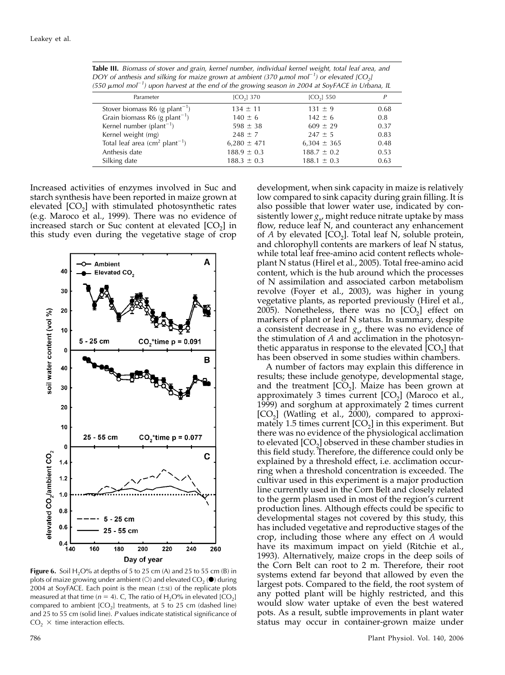Table III. Biomass of stover and grain, kernel number, individual kernel weight, total leaf area, and DOY of anthesis and silking for maize grown at ambient (370  $\mu$ mol mol<sup>-1</sup>) or elevated [CO<sub>2</sub>] (550  $\mu$ mol mol<sup>-1</sup>) upon harvest at the end of the growing season in 2004 at SoyFACE in Urbana, IL

| Parameter                                  | $[CO2]$ 370     | [CO <sub>2</sub> ] 550 |      |
|--------------------------------------------|-----------------|------------------------|------|
| Stover biomass R6 (g plant <sup>-1</sup> ) | $134 \pm 11$    | $131 \pm 9$            | 0.68 |
| Grain biomass R6 (g plant <sup>-1</sup> )  | $140 \pm 6$     | $142 \pm 6$            | 0.8  |
| Kernel number ( $plan-1$ )                 | $598 \pm 38$    | $609 \pm 29$           | 0.37 |
| Kernel weight (mg)                         | $248 \pm 7$     | $247 \pm 5$            | 0.83 |
| Total leaf area $(cm2 plant-1)$            | $6,280 \pm 471$ | $6,304 \pm 365$        | 0.48 |
| Anthesis date                              | $188.9 \pm 0.3$ | $188.7 \pm 0.2$        | 0.53 |
| Silking date                               | $188.3 \pm 0.3$ | $188.1 \pm 0.3$        | 0.63 |
|                                            |                 |                        |      |

Increased activities of enzymes involved in Suc and starch synthesis have been reported in maize grown at elevated [CO<sub>2</sub>] with stimulated photosynthetic rates (e.g. Maroco et al., 1999). There was no evidence of increased starch or Suc content at elevated  $[CO<sub>2</sub>]$  in this study even during the vegetative stage of crop



Figure 6. Soil  $H_2O\%$  at depths of 5 to 25 cm (A) and 25 to 55 cm (B) in plots of maize growing under ambient (O) and elevated  $CO<sub>2</sub>$  ( $\bullet$ ) during 2004 at SoyFACE. Each point is the mean  $(\pm s_E)$  of the replicate plots measured at that time ( $n = 4$ ). C, The ratio of H<sub>2</sub>O% in elevated [CO<sub>2</sub>] compared to ambient  $[CO_2]$  treatments, at 5 to 25 cm (dashed line) and 25 to 55 cm (solid line). P values indicate statistical significance of  $CO<sub>2</sub> \times$  time interaction effects.

development, when sink capacity in maize is relatively low compared to sink capacity during grain filling. It is also possible that lower water use, indicated by consistently lower  $g_s$ , might reduce nitrate uptake by mass flow, reduce leaf N, and counteract any enhancement of  $A$  by elevated  $[CO_2]$ . Total leaf N, soluble protein, and chlorophyll contents are markers of leaf N status, while total leaf free-amino acid content reflects wholeplant N status (Hirel et al., 2005). Total free-amino acid content, which is the hub around which the processes of N assimilation and associated carbon metabolism revolve (Foyer et al., 2003), was higher in young vegetative plants, as reported previously (Hirel et al., 2005). Nonetheless, there was no  $[CO<sub>2</sub>]$  effect on markers of plant or leaf N status. In summary, despite a consistent decrease in  $g<sub>s</sub>$ , there was no evidence of the stimulation of A and acclimation in the photosynthetic apparatus in response to the elevated  $[CO<sub>2</sub>]$  that has been observed in some studies within chambers.

A number of factors may explain this difference in results; these include genotype, developmental stage, and the treatment  $[CO<sub>2</sub>]$ . Maize has been grown at approximately 3 times current  $[CO<sub>2</sub>]$  (Maroco et al., 1999) and sorghum at approximately 2 times current  $[CO<sub>2</sub>]$  (Watling et al., 2000), compared to approximately 1.5 times current  $[CO<sub>2</sub>]$  in this experiment. But there was no evidence of the physiological acclimation to elevated  $[CO_2]$  observed in these chamber studies in this field study. Therefore, the difference could only be explained by a threshold effect, i.e. acclimation occurring when a threshold concentration is exceeded. The cultivar used in this experiment is a major production line currently used in the Corn Belt and closely related to the germ plasm used in most of the region's current production lines. Although effects could be specific to developmental stages not covered by this study, this has included vegetative and reproductive stages of the crop, including those where any effect on A would have its maximum impact on yield (Ritchie et al., 1993). Alternatively, maize crops in the deep soils of the Corn Belt can root to 2 m. Therefore, their root systems extend far beyond that allowed by even the largest pots. Compared to the field, the root system of any potted plant will be highly restricted, and this would slow water uptake of even the best watered pots. As a result, subtle improvements in plant water status may occur in container-grown maize under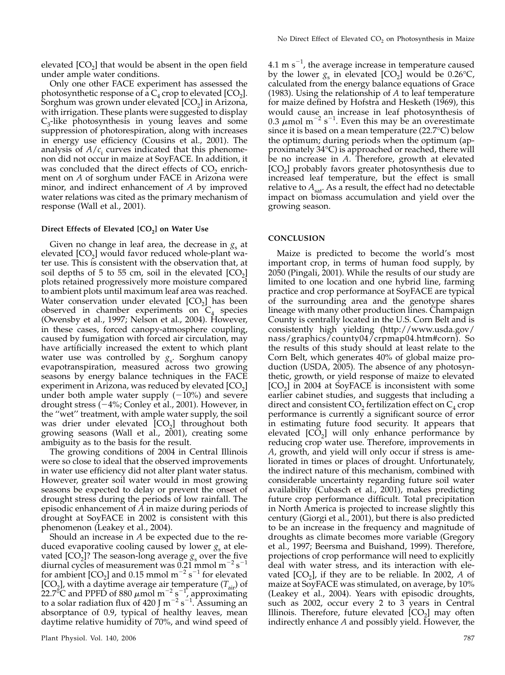elevated  $[CO<sub>2</sub>]$  that would be absent in the open field under ample water conditions.

Only one other FACE experiment has assessed the photosynthetic response of a  $C_4$  crop to elevated [CO<sub>2</sub>]. Sorghum was grown under elevated  $[CO<sub>2</sub>]$  in Arizona, with irrigation. These plants were suggested to display  $C_3$ -like photosynthesis in young leaves and some suppression of photorespiration, along with increases in energy use efficiency (Cousins et al., 2001). The analysis of  $A/c<sub>i</sub>$  curves indicated that this phenomenon did not occur in maize at SoyFACE. In addition, it was concluded that the direct effects of  $CO<sub>2</sub>$  enrichment on A of sorghum under FACE in Arizona were minor, and indirect enhancement of A by improved water relations was cited as the primary mechanism of response (Wall et al., 2001).

## Direct Effects of Elevated  $[CO<sub>2</sub>]$  on Water Use

Given no change in leaf area, the decrease in  $g<sub>s</sub>$  at elevated  $[CO<sub>2</sub>]$  would favor reduced whole-plant water use. This is consistent with the observation that, at soil depths of 5 to 55 cm, soil in the elevated  $[CO<sub>2</sub>]$ plots retained progressively more moisture compared to ambient plots until maximum leaf area was reached. Water conservation under elevated  $[CO<sub>2</sub>]$  has been observed in chamber experiments on  $C_4$  species (Owensby et al., 1997; Nelson et al., 2004). However, in these cases, forced canopy-atmosphere coupling, caused by fumigation with forced air circulation, may have artificially increased the extent to which plant water use was controlled by  $g_s$ . Sorghum canopy evapotranspiration, measured across two growing seasons by energy balance techniques in the FACE experiment in Arizona, was reduced by elevated  $[CO<sub>2</sub>]$ under both ample water supply  $(-10\%)$  and severe drought stress  $(-4\%;$  Conley et al., 2001). However, in the ''wet'' treatment, with ample water supply, the soil was drier under elevated  $[CO<sub>2</sub>]$  throughout both growing seasons (Wall et al., 2001), creating some ambiguity as to the basis for the result.

The growing conditions of 2004 in Central Illinois were so close to ideal that the observed improvements in water use efficiency did not alter plant water status. However, greater soil water would in most growing seasons be expected to delay or prevent the onset of drought stress during the periods of low rainfall. The episodic enhancement of A in maize during periods of drought at SoyFACE in 2002 is consistent with this phenomenon (Leakey et al., 2004).

Should an increase in A be expected due to the reduced evaporative cooling caused by lower  $g_s$  at elevated  $[CO_2]$ ? The season-long average  $g_s$  over the five diurnal cycles of measurement was 0.21 mmol m<sup>-2</sup> s<sup>-1</sup> for ambient  $[CO_2]$  and 0.15 mmol m<sup>-2</sup> s<sup>-1</sup> for elevated [CO<sub>2</sub>], with a daytime average air temperature  $(T_{air})$  of 22.7<sup>o</sup>C and PPFD of 880  $\mu$ mol m<sup>-2</sup> s<sup>-1</sup>, approximating to a solar radiation flux of 420 J m<sup>-2</sup> s<sup>-1</sup>. Assuming an absorptance of 0.9, typical of healthy leaves, mean daytime relative humidity of 70%, and wind speed of

4.1 m s<sup>-1</sup>, the average increase in temperature caused by the lower  $g_s$  in elevated [CO<sub>2</sub>] would be 0.26°C, calculated from the energy balance equations of Grace (1983). Using the relationship of  $A$  to leaf temperature for maize defined by Hofstra and Hesketh (1969), this would cause an increase in leaf photosynthesis of 0.3  $\mu$ mol m<sup>-2</sup> s<sup>-1</sup>. Even this may be an overestimate since it is based on a mean temperature (22.7°C) below the optimum; during periods when the optimum (approximately 34°C) is approached or reached, there will be no increase in A. Therefore, growth at elevated  $[CO<sub>2</sub>]$  probably favors greater photosynthesis due to increased leaf temperature, but the effect is small relative to  $A_{sat}$ . As a result, the effect had no detectable impact on biomass accumulation and yield over the growing season.

## **CONCLUSION**

Maize is predicted to become the world's most important crop, in terms of human food supply, by 2050 (Pingali, 2001). While the results of our study are limited to one location and one hybrid line, farming practice and crop performance at SoyFACE are typical of the surrounding area and the genotype shares lineage with many other production lines. Champaign County is centrally located in the U.S. Corn Belt and is consistently high yielding (http://www.usda.gov/ nass/graphics/county04/crpmap04.htm#corn). So the results of this study should at least relate to the Corn Belt, which generates 40% of global maize production (USDA, 2005). The absence of any photosynthetic, growth, or yield response of maize to elevated [CO<sub>2</sub>] in 2004 at SoyFACE is inconsistent with some earlier cabinet studies, and suggests that including a direct and consistent  $CO<sub>2</sub>$  fertilization effect on  $C<sub>4</sub>$  crop performance is currently a significant source of error in estimating future food security. It appears that elevated  $[CO<sub>2</sub>]$  will only enhance performance by reducing crop water use. Therefore, improvements in A, growth, and yield will only occur if stress is ameliorated in times or places of drought. Unfortunately, the indirect nature of this mechanism, combined with considerable uncertainty regarding future soil water availability (Cubasch et al., 2001), makes predicting future crop performance difficult. Total precipitation in North America is projected to increase slightly this century (Giorgi et al., 2001), but there is also predicted to be an increase in the frequency and magnitude of droughts as climate becomes more variable (Gregory et al., 1997; Beersma and Buishand, 1999). Therefore, projections of crop performance will need to explicitly deal with water stress, and its interaction with elevated  $[CO<sub>2</sub>]$ , if they are to be reliable. In 2002, A of maize at SoyFACE was stimulated, on average, by 10% (Leakey et al., 2004). Years with episodic droughts, such as 2002, occur every 2 to 3 years in Central Illinois. Therefore, future elevated  $[CO<sub>2</sub>]$  may often indirectly enhance A and possibly yield. However, the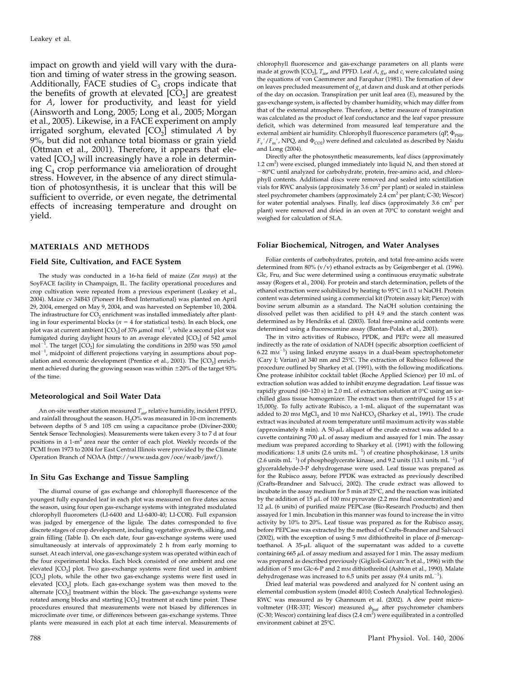impact on growth and yield will vary with the duration and timing of water stress in the growing season. Additionally, FACE studies of  $C_3$  crops indicate that the benefits of growth at elevated  $[CO<sub>2</sub>]$  are greatest for A, lower for productivity, and least for yield (Ainsworth and Long, 2005; Long et al., 2005; Morgan et al., 2005). Likewise, in a FACE experiment on amply irrigated sorghum, elevated  $[CO_2]$  stimulated A by 9%, but did not enhance total biomass or grain yield (Ottman et al., 2001). Therefore, it appears that elevated  $[CO<sub>2</sub>]$  will increasingly have a role in determining  $C_4$  crop performance via amelioration of drought stress. However, in the absence of any direct stimulation of photosynthesis, it is unclear that this will be sufficient to override, or even negate, the detrimental effects of increasing temperature and drought on yield.

## MATERIALS AND METHODS

#### Field Site, Cultivation, and FACE System

The study was conducted in a 16-ha field of maize (Zea mays) at the SoyFACE facility in Champaign, IL. The facility operational procedures and crop cultivation were repeated from a previous experiment (Leakey et al., 2004). Maize cv 34B43 (Pioneer Hi-Bred International) was planted on April 29, 2004, emerged on May 9, 2004, and was harvested on September 10, 2004. The infrastructure for  $CO<sub>2</sub>$  enrichment was installed immediately after planting in four experimental blocks ( $n = 4$  for statistical tests). In each block, one plot was at current ambient  $\text{[CO}_2\text{]}$  of 376  $\mu \text{mol}$  mol $^{-1}$ , while a second plot was fumigated during daylight hours to an average elevated  $[CO<sub>2</sub>]$  of 542  $\mu$ mol mol<sup>-</sup> . The target  $[CO<sub>2</sub>]$  for simulating the conditions in 2050 was 550  $\mu$ mol mol<sup>-1</sup>, midpoint of different projections varying in assumptions about population and economic development (Prentice et al., 2001). The  $[CO<sub>2</sub>]$  enrichment achieved during the growing season was within  $\pm 20$ % of the target 93% of the time.

## Meteorological and Soil Water Data

An on-site weather station measured  $T_{\text{air}}$  relative humidity, incident PPFD, and rainfall throughout the season.  $H<sub>2</sub>O$ % was measured in 10-cm increments between depths of 5 and 105 cm using a capacitance probe (Diviner-2000; Sentek Sensor Technologies). Measurements were taken every 3 to 7 d at four positions in a 1-m<sup>2</sup> area near the center of each plot. Weekly records of the PCMI from 1973 to 2004 for East Central Illinois were provided by the Climate Operation Branch of NOAA (http://www.usda.gov/oce/waob/jawf/).

## In Situ Gas Exchange and Tissue Sampling

The diurnal course of gas exchange and chlorophyll fluorescence of the youngest fully expanded leaf in each plot was measured on five dates across the season, using four open gas-exchange systems with integrated modulated chlorophyll fluorometers (LI-6400 and LI-6400-40; LI-COR). Full expansion was judged by emergence of the ligule. The dates corresponded to five discrete stages of crop development, including vegetative growth, silking, and grain filling (Table I). On each date, four gas-exchange systems were used simultaneously at intervals of approximately 2 h from early morning to sunset. At each interval, one gas-exchange system was operated within each of the four experimental blocks. Each block consisted of one ambient and one elevated [CO<sub>2</sub>] plot. Two gas-exchange systems were first used in ambient [CO<sub>2</sub>] plots, while the other two gas-exchange systems were first used in elevated [CO<sub>2</sub>] plots. Each gas-exchange system was then moved to the alternate  $[CO<sub>2</sub>]$  treatment within the block. The gas-exchange systems were rotated among blocks and starting  $[CO<sub>2</sub>]$  treatment at each time point. These procedures ensured that measurements were not biased by differences in microclimate over time, or differences between gas-exchange systems. Three plants were measured in each plot at each time interval. Measurements of

chlorophyll fluorescence and gas-exchange parameters on all plants were made at growth  $[CO_2]$ ,  $T_{air}$  and PPFD. Leaf A,  $g_{s}$ , and  $c_i$  were calculated using the equations of von Caemmerer and Farquhar (1981). The formation of dew on leaves precluded measurement of  $g_s$  at dawn and dusk and at other periods of the day on occasion. Transpiration per unit leaf area (E), measured by the gas-exchange system, is affected by chamber humidity, which may differ from that of the external atmosphere. Therefore, a better measure of transpiration was calculated as the product of leaf conductance and the leaf vapor pressure deficit, which was determined from measured leaf temperature and the external ambient air humidity. Chlorophyll fluorescence parameters (qP,  $\Phi_{\rm PSII}$ ,  $F_v'/F_m'$ , NPQ, and  $\Phi_{CO2}$ ) were defined and calculated as described by Naidu and Long (2004).

Directly after the photosynthetic measurements, leaf discs (approximately 1.2 cm<sup>2</sup>) were excised, plunged immediately into liquid N, and then stored at -80°C until analyzed for carbohydrate, protein, free-amino acid, and chlorophyll contents. Additional discs were removed and sealed into scintillation vials for RWC analysis (approximately  $3.6 \text{ cm}^2$  per plant) or sealed in stainless steel psychrometer chambers (approximately 2.4 cm<sup>2</sup> per plant; C-30; Wescor) for water potential analyses. Finally, leaf discs (approximately  $3.6 \text{ cm}^2$  per plant) were removed and dried in an oven at 70°C to constant weight and weighed for calculation of SLA.

## Foliar Biochemical, Nitrogen, and Water Analyses

Foliar contents of carbohydrates, protein, and total free-amino acids were determined from 80% (v/v) ethanol extracts as by Geigenberger et al. (1996). Glc, Fru, and Suc were determined using a continuous enzymatic substrate assay (Rogers et al., 2004). For protein and starch determination, pellets of the ethanol extraction were solubilized by heating to 95°C in 0.1 m NaOH. Protein content was determined using a commercial kit (Protein assay kit; Pierce) with bovine serum albumin as a standard. The NaOH solution containing the dissolved pellet was then acidified to pH 4.9 and the starch content was determined as by Hendriks et al. (2003). Total free-amino acid contents were determined using a fluorescamine assay (Bantan-Polak et al., 2001).

The in vitro activities of Rubisco, PPDK, and PEPc were all measured indirectly as the rate of oxidation of NADH (specific absorption coefficient of  $6.22 \text{ mm}^{-1}$ ) using linked enzyme assays in a dual-beam spectrophotometer (Cary I; Varian) at 340 nm and 25°C. The extraction of Rubisco followed the procedure outlined by Sharkey et al. (1991), with the following modifications. One protease inhibitor cocktail tablet (Roche Applied Science) per 10 mL of extraction solution was added to inhibit enzyme degradation. Leaf tissue was rapidly ground (60–120 s) in 2.0 mL of extraction solution at  $0^{\circ}$ C using an icechilled glass tissue homogenizer. The extract was then centrifuged for 15 s at 15,000g. To fully activate Rubisco, a 1-mL aliquot of the supernatant was added to 20 mm  $MgCl<sub>2</sub>$  and 10 mm  $NaHCO<sub>3</sub>$  (Sharkey et al., 1991). The crude extract was incubated at room temperature until maximum activity was stable (approximately 8 min). A  $50-\mu L$  aliquot of the crude extract was added to a cuvette containing 700  $\mu$ L of assay medium and assayed for 1 min. The assay medium was prepared according to Sharkey et al. (1991) with the following modifications: 1.8 units (2.6 units  $mL^{-1}$ ) of creatine phosphokinase, 1.8 units (2.6 units  $mL^{-1}$ ) of phosphoglycerate kinase, and 9.2 units (13.1 units  $mL^{-1}$ ) of glyceraldehyde-3-P dehydrogenase were used. Leaf tissue was prepared as for the Rubisco assay, before PPDK was extracted as previously described (Crafts-Brandner and Salvucci, 2002). The crude extract was allowed to incubate in the assay medium for  $5$  min at  $25^{\circ}$ C, and the reaction was initiated by the addition of 15  $\mu$ L of 100 mm pyruvate (2.2 mm final concentration) and  $12 \mu$ L (6 units) of purified maize PEPCase (Bio-Research Products) and then assayed for 1 min. Incubation in this manner was found to increase the in vitro activity by 10% to 20%. Leaf tissue was prepared as for the Rubisco assay, before PEPCase was extracted by the method of Crafts-Brandner and Salvucci (2002), with the exception of using 5 mm dithiothreitol in place of  $\beta$ -mercaptoethanol. A  $35-\mu L$  aliquot of the supernatant was added to a cuvette containing 665  $\mu$ L of assay medium and assayed for 1 min. The assay medium was prepared as described previously (Giglioli-Guivarc'h et al., 1996) with the addition of 5 mM Glc-6-P and 2 mM dithiothreitol (Ashton et al., 1990). Malate dehydrogenase was increased to 6.5 units per assay (9.4 units  $mL^{-1}$ ).

Dried leaf material was powdered and analyzed for N content using an elemental combustion system (model 4010; Costech Analytical Technologies). RWC was measured as by Ghannoum et al. (2002). A dew point microvoltmeter (HR-33T; Wescor) measured  $\psi_{\text{leaf}}$  after psychrometer chambers (C-30; Wescor) containing leaf discs  $(2.4 \text{ cm}^2)$  were equilibrated in a controlled environment cabinet at 25°C.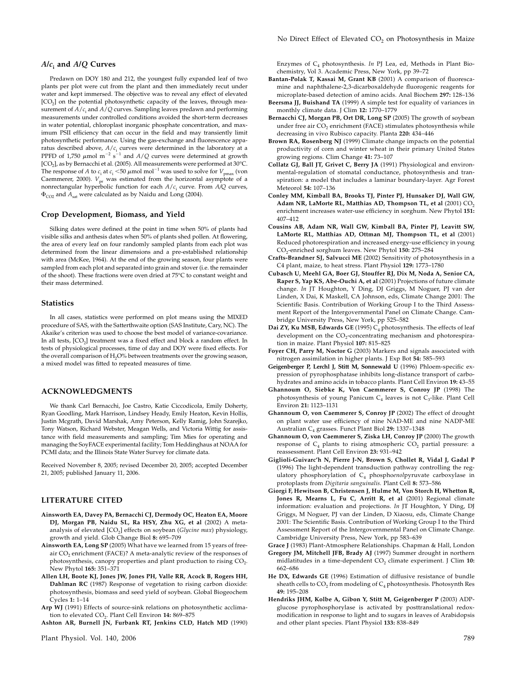Predawn on DOY 180 and 212, the youngest fully expanded leaf of two plants per plot were cut from the plant and then immediately recut under water and kept immersed. The objective was to reveal any effect of elevated [CO<sub>2</sub>] on the potential photosynthetic capacity of the leaves, through measurement of  $A/c<sub>i</sub>$  and  $A/Q$  curves. Sampling leaves predawn and performing measurements under controlled conditions avoided the short-term decreases in water potential, chloroplast inorganic phosphate concentration, and maximum PSII efficiency that can occur in the field and may transiently limit photosynthetic performance. Using the gas-exchange and fluorescence apparatus described above,  $A/c_{\rm i}$  curves were determined in the laboratory at a<br>PPFD of 1,750  $\mu$ mol m<sup>-2</sup> s<sup>-1</sup> and A/Q curves were determined at growth [CO<sub>2</sub>], as by Bernacchi et al. (2005). All measurements were performed at 30°C. The response of A to  $c_i$  at  $c_i$  <50  $\mu$ mol mol<sup>-1</sup> was used to solve for  $V_{pmax}$  (von Caemmerer, 2000).  $V_{\text{pr}}$  was estimated from the horizontal asymptote of a nonrectangular hyperbolic function for each  $A/c<sub>i</sub>$  curve. From  $A/Q$  curves,  $\Phi_{CO2}$  and  $A_{sat}$  were calculated as by Naidu and Long (2004).

## Crop Development, Biomass, and Yield

Silking dates were defined at the point in time when 50% of plants had visible silks and anthesis dates when 50% of plants shed pollen. At flowering, the area of every leaf on four randomly sampled plants from each plot was determined from the linear dimensions and a pre-established relationship with area (McKee, 1964). At the end of the growing season, four plants were sampled from each plot and separated into grain and stover (i.e. the remainder of the shoot). These fractions were oven dried at 75°C to constant weight and their mass determined.

#### **Statistics**

In all cases, statistics were performed on plot means using the MIXED procedure of SAS, with the Satterthwaite option (SAS Institute, Cary, NC). The Akaike's criterion was used to choose the best model of variance-covariance. In all tests, [CO<sub>2</sub>] treatment was a fixed effect and block a random effect. In tests of physiological processes, time of day and DOY were fixed effects. For the overall comparison of  $H_2O$ % between treatments over the growing season, a mixed model was fitted to repeated measures of time.

# ACKNOWLEDGMENTS

We thank Carl Bernacchi, Joe Castro, Katie Ciccodicola, Emily Doherty, Ryan Goodling, Mark Harrison, Lindsey Heady, Emily Heaton, Kevin Hollis, Justin Mcgrath, David Marshak, Amy Peterson, Kelly Ramig, John Szarejko, Tony Watson, Richard Webster, Meagan Wells, and Victoria Wittig for assistance with field measurements and sampling; Tim Mies for operating and managing the SoyFACE experimental facility; Tom Heddinghaus at NOAA for PCMI data; and the Illinois State Water Survey for climate data.

Received November 8, 2005; revised December 20, 2005; accepted December 21, 2005; published January 11, 2006.

## LITERATURE CITED

- Ainsworth EA, Davey PA, Bernacchi CJ, Dermody OC, Heaton EA, Moore DJ, Morgan PB, Naidu SL, Ra HSY, Zhu XG, et al (2002) A metaanalysis of elevated  $[CO<sub>2</sub>]$  effects on soybean (Glycine max) physiology, growth and yield. Glob Change Biol 8: 695–709
- Ainsworth EA, Long SP (2005) What have we learned from 15 years of freeair  $CO<sub>2</sub>$  enrichment (FACE)? A meta-analytic review of the responses of photosynthesis, canopy properties and plant production to rising  $CO<sub>2</sub>$ . New Phytol 165: 351–371
- Allen LH, Boote KJ, Jones JW, Jones PH, Valle RR, Acock B, Rogers HH, Dahlman RC (1987) Response of vegetation to rising carbon dioxide: photosynthesis, biomass and seed yield of soybean. Global Biogeochem Cycles 1: 1–14

Arp WJ (1991) Effects of source-sink relations on photosynthetic acclimation to elevated  $CO<sub>2</sub>$ . Plant Cell Environ 14: 869-875

Ashton AR, Burnell JN, Furbank RT, Jenkins CLD, Hatch MD (1990)

Enzymes of  $C_4$  photosynthesis. In PJ Lea, ed, Methods in Plant Biochemistry, Vol 3. Academic Press, New York, pp 39–72

- Bantan-Polak T, Kassai M, Grant KB (2001) A comparison of fluorescamine and naphthalene-2,3-dicarboxaldehyde fluorogenic reagents for microplate-based detection of amino acids. Anal Biochem 297: 128–136
- Beersma JJ, Buishand TA (1999) A simple test for equality of variances in monthly climate data. J Clim 12: 1770–1779
- Bernacchi CJ, Morgan PB, Ort DR, Long SP (2005) The growth of soybean under free air CO<sub>2</sub> enrichment (FACE) stimulates photosynthesis while decreasing in vivo Rubisco capacity. Planta 220: 434–446
- Brown RA, Rosenberg NJ (1999) Climate change impacts on the potential productivity of corn and winter wheat in their primary United States growing regions. Clim Change 41: 73–107
- Collatz GJ, Ball JT, Grivet C, Berry JA (1991) Physiological and environmental-regulation of stomatal conductance, photosynthesis and transpiration: a model that includes a laminar boundary-layer. Agr Forest Meteorol 54: 107–136
- Conley MM, Kimball BA, Brooks TJ, Pinter PJ, Hunsaker DJ, Wall GW, Adam NR, LaMorte RL, Matthias AD, Thompson TL, et al  $(2001)$   $\mathrm{CO}_2$ enrichment increases water-use efficiency in sorghum. New Phytol 151: 407–412
- Cousins AB, Adam NR, Wall GW, Kimball BA, Pinter PJ, Leavitt SW, LaMorte RL, Matthias AD, Ottman MJ, Thompson TL, et al (2001) Reduced photorespiration and increased energy-use efficiency in young CO2-enriched sorghum leaves. New Phytol 150: 275–284
- Crafts-Brandner SJ, Salvucci ME (2002) Sensitivity of photosynthesis in a C4 plant, maize, to heat stress. Plant Physiol 129: 1773–1780
- Cubasch U, Meehl GA, Boer GJ, Stouffer RJ, Dix M, Noda A, Senior CA, Raper S, Yap KS, Abe-Ouchi A, et al (2001) Projections of future climate change. In JT Houghton, Y Ding, DJ Griggs, M Noguer, PJ van der Linden, X Dai, K Maskell, CA Johnson, eds, Climate Change 2001: The Scientific Basis. Contribution of Working Group I to the Third Assessment Report of the Intergovernmental Panel on Climate Change. Cambridge University Press, New York, pp 525–582
- Dai ZY, Ku MSB, Edwards GE (1995)  $C_4$  photosynthesis. The effects of leaf development on the  $CO_2$ -concentrating mechanism and photorespiration in maize. Plant Physiol 107: 815–825
- Foyer CH, Parry M, Noctor G (2003) Markers and signals associated with nitrogen assimilation in higher plants. J Exp Bot 54: 585–593
- Geigenberger P, Lerchl J, Stitt M, Sonnewald U (1996) Phloem-specific expression of pyrophosphatase inhibits long-distance transport of carbohydrates and amino acids in tobacco plants. Plant Cell Environ 19: 43–55
- Ghannoum O, Siebke K, Von Caemmerer S, Conroy JP (1998) The photosynthesis of young Panicum  $C_4$  leaves is not  $C_3$ -like. Plant Cell Environ 21: 1123–1131
- Ghannoum O, von Caemmerer S, Conroy JP (2002) The effect of drought on plant water use efficiency of nine NAD-ME and nine NADP-ME Australian C<sub>4</sub> grasses. Funct Plant Biol 29: 1337-1348
- Ghannoum O, von Caemmerer S, Ziska LH, Conroy JP (2000) The growth response of  $C_4$  plants to rising atmospheric  $CO_2$  partial pressure: a reassessment. Plant Cell Environ 23: 931–942
- Giglioli-Guivarc'h N, Pierre J-N, Brown S, Chollet R, Vidal J, Gadal P (1996) The light-dependent transduction pathway controlling the regulatory phosphorylation of  $C_4$  phosphoenolpyruvate carboxylase in protoplasts from Digitaria sanguinalis. Plant Cell 8: 573–586
- Giorgi F, Hewitson B, Christensen J, Hulme M, Von Storch H, Whetton R, Jones R, Mearns L, Fu C, Arritt R, et al (2001) Regional climate information: evaluation and projections. In JT Houghton, Y Ding, DJ Griggs, M Noguer, PJ van der Linden, D Xiaosu, eds, Climate Change 2001: The Scientific Basis. Contribution of Working Group I to the Third Assessment Report of the Intergovernmental Panel on Climate Change. Cambridge University Press, New York, pp 583–639
- Grace J (1983) Plant-Atmosphere Relationships. Chapman & Hall, London Gregory JM, Mitchell JFB, Brady AJ (1997) Summer drought in northern midlatitudes in a time-dependent CO<sub>2</sub> climate experiment. J Clim 10: 662–686
- He DX, Edwards GE (1996) Estimation of diffusive resistance of bundle sheath cells to  $CO<sub>2</sub>$  from modeling of  $C<sub>4</sub>$  photosynthesis. Photosynth Res 49: 195–208
- Hendriks JHM, Kolbe A, Gibon Y, Stitt M, Geigenberger P (2003) ADPglucose pyrophosphorylase is activated by posttranslational redoxmodification in response to light and to sugars in leaves of Arabidopsis and other plant species. Plant Physiol 133: 838–849